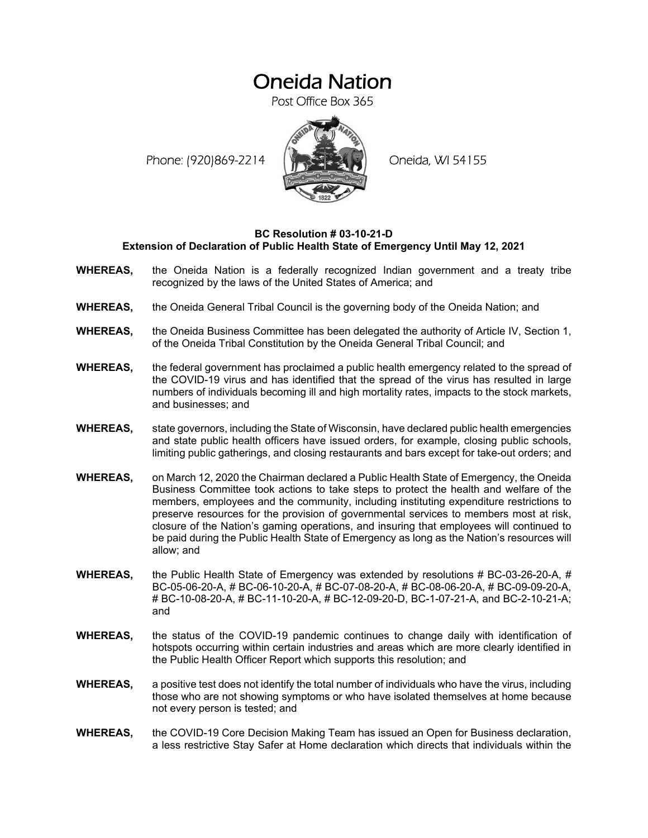# Oneida Nation

Post Office Box 365

Phone: (920)869-2214 (XXXXXXX) Oneida, WI 54155



### **BC Resolution # 03-10-21-D Extension of Declaration of Public Health State of Emergency Until May 12, 2021**

- **WHEREAS,** the Oneida Nation is a federally recognized Indian government and a treaty tribe recognized by the laws of the United States of America; and
- **WHEREAS,** the Oneida General Tribal Council is the governing body of the Oneida Nation; and
- **WHEREAS,** the Oneida Business Committee has been delegated the authority of Article IV, Section 1, of the Oneida Tribal Constitution by the Oneida General Tribal Council; and
- **WHEREAS,** the federal government has proclaimed a public health emergency related to the spread of the COVID-19 virus and has identified that the spread of the virus has resulted in large numbers of individuals becoming ill and high mortality rates, impacts to the stock markets, and businesses; and
- **WHEREAS,** state governors, including the State of Wisconsin, have declared public health emergencies and state public health officers have issued orders, for example, closing public schools, limiting public gatherings, and closing restaurants and bars except for take-out orders; and
- **WHEREAS,** on March 12, 2020 the Chairman declared a Public Health State of Emergency, the Oneida Business Committee took actions to take steps to protect the health and welfare of the members, employees and the community, including instituting expenditure restrictions to preserve resources for the provision of governmental services to members most at risk, closure of the Nation's gaming operations, and insuring that employees will continued to be paid during the Public Health State of Emergency as long as the Nation's resources will allow; and
- **WHEREAS,** the Public Health State of Emergency was extended by resolutions # BC-03-26-20-A, # BC-05-06-20-A, # BC-06-10-20-A, # BC-07-08-20-A, # BC-08-06-20-A, # BC-09-09-20-A, # BC-10-08-20-A, # BC-11-10-20-A, # BC-12-09-20-D, BC-1-07-21-A, and BC-2-10-21-A; and
- **WHEREAS,** the status of the COVID-19 pandemic continues to change daily with identification of hotspots occurring within certain industries and areas which are more clearly identified in the Public Health Officer Report which supports this resolution; and
- **WHEREAS,** a positive test does not identify the total number of individuals who have the virus, including those who are not showing symptoms or who have isolated themselves at home because not every person is tested; and
- **WHEREAS,** the COVID-19 Core Decision Making Team has issued an Open for Business declaration, a less restrictive Stay Safer at Home declaration which directs that individuals within the